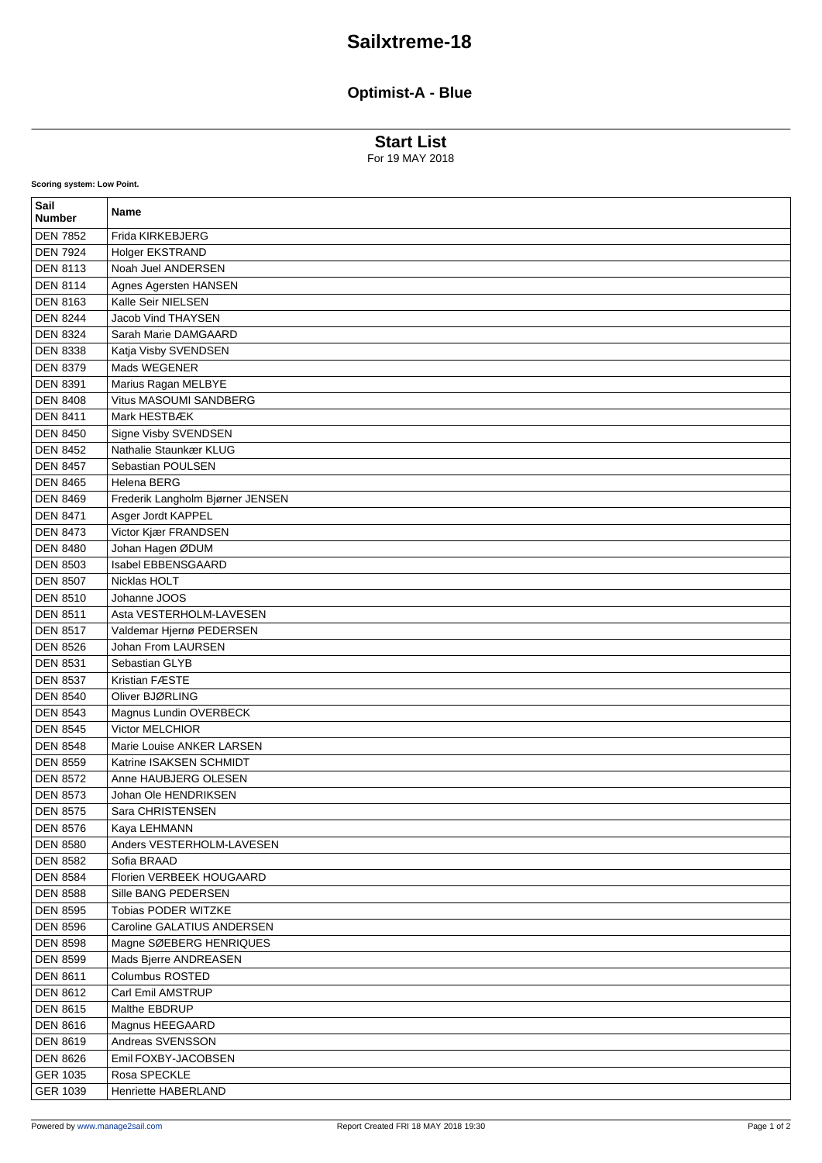## **Sailxtreme-18**

## **Optimist-A - Blue**

**Start List**

For 19 MAY 2018

| Sail<br><b>Number</b> | Name                             |
|-----------------------|----------------------------------|
| <b>DEN 7852</b>       | Frida KIRKEBJERG                 |
| <b>DEN 7924</b>       | Holger EKSTRAND                  |
| <b>DEN 8113</b>       | Noah Juel ANDERSEN               |
| <b>DEN 8114</b>       | Agnes Agersten HANSEN            |
| <b>DEN 8163</b>       | Kalle Seir NIELSEN               |
| <b>DEN 8244</b>       | <b>Jacob Vind THAYSEN</b>        |
| <b>DEN 8324</b>       | Sarah Marie DAMGAARD             |
| <b>DEN 8338</b>       | Katja Visby SVENDSEN             |
| <b>DEN 8379</b>       | Mads WEGENER                     |
| <b>DEN 8391</b>       | Marius Ragan MELBYE              |
| <b>DEN 8408</b>       | Vitus MASOUMI SANDBERG           |
| <b>DEN 8411</b>       | Mark HESTBÆK                     |
| <b>DEN 8450</b>       | Signe Visby SVENDSEN             |
| <b>DEN 8452</b>       | Nathalie Staunkær KLUG           |
| <b>DEN 8457</b>       | Sebastian POULSEN                |
| <b>DEN 8465</b>       | Helena BERG                      |
| <b>DEN 8469</b>       | Frederik Langholm Bjørner JENSEN |
| <b>DEN 8471</b>       | Asger Jordt KAPPEL               |
| <b>DEN 8473</b>       | Victor Kjær FRANDSEN             |
| <b>DEN 8480</b>       | Johan Hagen ØDUM                 |
| <b>DEN 8503</b>       | <b>Isabel EBBENSGAARD</b>        |
| <b>DEN 8507</b>       | Nicklas HOLT                     |
| <b>DEN 8510</b>       | Johanne JOOS                     |
| <b>DEN 8511</b>       | Asta VESTERHOLM-LAVESEN          |
| <b>DEN 8517</b>       | Valdemar Hjernø PEDERSEN         |
| <b>DEN 8526</b>       | Johan From LAURSEN               |
| <b>DEN 8531</b>       | Sebastian GLYB                   |
| <b>DEN 8537</b>       | Kristian FÆSTE                   |
| <b>DEN 8540</b>       | Oliver BJØRLING                  |
| <b>DEN 8543</b>       | Magnus Lundin OVERBECK           |
| <b>DEN 8545</b>       | Victor MELCHIOR                  |
| <b>DEN 8548</b>       | Marie Louise ANKER LARSEN        |
| <b>DEN 8559</b>       | Katrine ISAKSEN SCHMIDT          |
| <b>DEN 8572</b>       | Anne HAUBJERG OLESEN             |
| <b>DEN 8573</b>       | Johan Ole HENDRIKSEN             |
| <b>DEN 8575</b>       | Sara CHRISTENSEN                 |
| <b>DEN 8576</b>       | Kaya LEHMANN                     |
| <b>DEN 8580</b>       | Anders VESTERHOLM-LAVESEN        |
| <b>DEN 8582</b>       | Sofia BRAAD                      |
| <b>DEN 8584</b>       | Florien VERBEEK HOUGAARD         |
| <b>DEN 8588</b>       | Sille BANG PEDERSEN              |
| <b>DEN 8595</b>       | Tobias PODER WITZKE              |
| <b>DEN 8596</b>       | Caroline GALATIUS ANDERSEN       |
| <b>DEN 8598</b>       | Magne SØEBERG HENRIQUES          |
| <b>DEN 8599</b>       | Mads Bjerre ANDREASEN            |
| <b>DEN 8611</b>       | Columbus ROSTED                  |
| <b>DEN 8612</b>       | Carl Emil AMSTRUP                |
| <b>DEN 8615</b>       | Malthe EBDRUP                    |
| <b>DEN 8616</b>       | Magnus HEEGAARD                  |
| <b>DEN 8619</b>       | Andreas SVENSSON                 |
| <b>DEN 8626</b>       | Emil FOXBY-JACOBSEN              |
| GER 1035              | Rosa SPECKLE                     |
| GER 1039              | Henriette HABERLAND              |

**Scoring system: Low Point.**